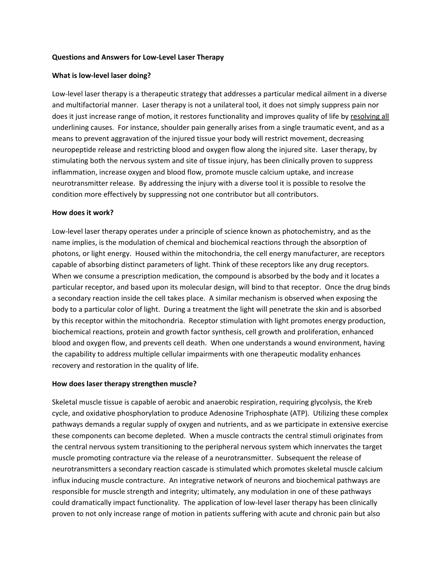### **Questions and Answers for Low‐Level Laser Therapy**

### **What is low‐level laser doing?**

Low‐level laser therapy is a therapeutic strategy that addresses a particular medical ailment in a diverse and multifactorial manner. Laser therapy is not a unilateral tool, it does not simply suppress pain nor does it just increase range of motion, it restores functionality and improves quality of life by resolving all underlining causes. For instance, shoulder pain generally arises from a single traumatic event, and as a means to prevent aggravation of the injured tissue your body will restrict movement, decreasing neuropeptide release and restricting blood and oxygen flow along the injured site. Laser therapy, by stimulating both the nervous system and site of tissue injury, has been clinically proven to suppress inflammation, increase oxygen and blood flow, promote muscle calcium uptake, and increase neurotransmitter release. By addressing the injury with a diverse tool it is possible to resolve the condition more effectively by suppressing not one contributor but all contributors.

#### **How does it work?**

Low‐level laser therapy operates under a principle of science known as photochemistry, and as the name implies, is the modulation of chemical and biochemical reactions through the absorption of photons, or light energy. Housed within the mitochondria, the cell energy manufacturer, are receptors capable of absorbing distinct parameters of light. Think of these receptors like any drug receptors. When we consume a prescription medication, the compound is absorbed by the body and it locates a particular receptor, and based upon its molecular design, will bind to that receptor. Once the drug binds a secondary reaction inside the cell takes place. A similar mechanism is observed when exposing the body to a particular color of light. During a treatment the light will penetrate the skin and is absorbed by this receptor within the mitochondria. Receptor stimulation with light promotes energy production, biochemical reactions, protein and growth factor synthesis, cell growth and proliferation, enhanced blood and oxygen flow, and prevents cell death. When one understands a wound environment, having the capability to address multiple cellular impairments with one therapeutic modality enhances recovery and restoration in the quality of life.

#### **How does laser therapy strengthen muscle?**

Skeletal muscle tissue is capable of aerobic and anaerobic respiration, requiring glycolysis, the Kreb cycle, and oxidative phosphorylation to produce Adenosine Triphosphate (ATP). Utilizing these complex pathways demands a regular supply of oxygen and nutrients, and as we participate in extensive exercise these components can become depleted. When a muscle contracts the central stimuli originates from the central nervous system transitioning to the peripheral nervous system which innervates the target muscle promoting contracture via the release of a neurotransmitter. Subsequent the release of neurotransmitters a secondary reaction cascade is stimulated which promotes skeletal muscle calcium influx inducing muscle contracture. An integrative network of neurons and biochemical pathways are responsible for muscle strength and integrity; ultimately, any modulation in one of these pathways could dramatically impact functionality. The application of low-level laser therapy has been clinically proven to not only increase range of motion in patients suffering with acute and chronic pain but also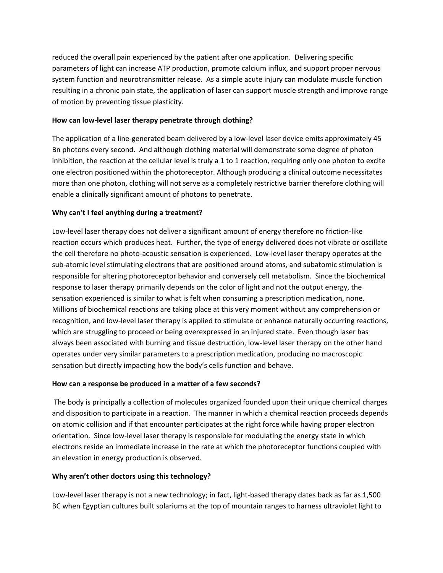reduced the overall pain experienced by the patient after one application. Delivering specific parameters of light can increase ATP production, promote calcium influx, and support proper nervous system function and neurotransmitter release. As a simple acute injury can modulate muscle function resulting in a chronic pain state, the application of laser can support muscle strength and improve range of motion by preventing tissue plasticity.

# **How can low‐level laser therapy penetrate through clothing?**

The application of a line‐generated beam delivered by a low‐level laser device emits approximately 45 Bn photons every second. And although clothing material will demonstrate some degree of photon inhibition, the reaction at the cellular level is truly a 1 to 1 reaction, requiring only one photon to excite one electron positioned within the photoreceptor. Although producing a clinical outcome necessitates more than one photon, clothing will not serve as a completely restrictive barrier therefore clothing will enable a clinically significant amount of photons to penetrate.

# **Why can't I feel anything during a treatment?**

Low-level laser therapy does not deliver a significant amount of energy therefore no friction-like reaction occurs which produces heat. Further, the type of energy delivered does not vibrate or oscillate the cell therefore no photo‐acoustic sensation is experienced. Low‐level laser therapy operates at the sub‐atomic level stimulating electrons that are positioned around atoms, and subatomic stimulation is responsible for altering photoreceptor behavior and conversely cell metabolism. Since the biochemical response to laser therapy primarily depends on the color of light and not the output energy, the sensation experienced is similar to what is felt when consuming a prescription medication, none. Millions of biochemical reactions are taking place at this very moment without any comprehension or recognition, and low‐level laser therapy is applied to stimulate or enhance naturally occurring reactions, which are struggling to proceed or being overexpressed in an injured state. Even though laser has always been associated with burning and tissue destruction, low‐level laser therapy on the other hand operates under very similar parameters to a prescription medication, producing no macroscopic sensation but directly impacting how the body's cells function and behave.

## **How can a response be produced in a matter of a few seconds?**

The body is principally a collection of molecules organized founded upon their unique chemical charges and disposition to participate in a reaction. The manner in which a chemical reaction proceeds depends on atomic collision and if that encounter participates at the right force while having proper electron orientation. Since low‐level laser therapy is responsible for modulating the energy state in which electrons reside an immediate increase in the rate at which the photoreceptor functions coupled with an elevation in energy production is observed.

# **Why aren't other doctors using this technology?**

Low-level laser therapy is not a new technology; in fact, light-based therapy dates back as far as 1,500 BC when Egyptian cultures built solariums at the top of mountain ranges to harness ultraviolet light to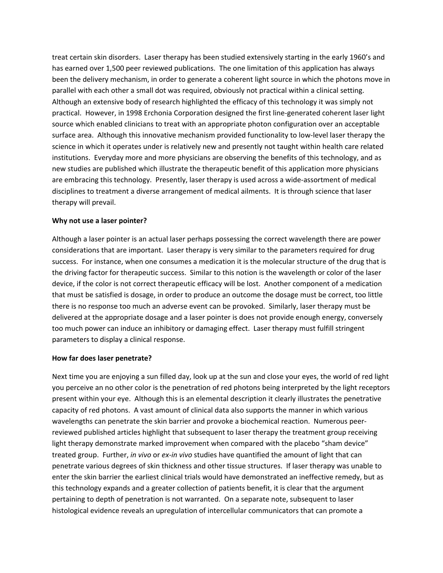treat certain skin disorders. Laser therapy has been studied extensively starting in the early 1960's and has earned over 1,500 peer reviewed publications. The one limitation of this application has always been the delivery mechanism, in order to generate a coherent light source in which the photons move in parallel with each other a small dot was required, obviously not practical within a clinical setting. Although an extensive body of research highlighted the efficacy of this technology it was simply not practical. However, in 1998 Erchonia Corporation designed the first line‐generated coherent laser light source which enabled clinicians to treat with an appropriate photon configuration over an acceptable surface area. Although this innovative mechanism provided functionality to low-level laser therapy the science in which it operates under is relatively new and presently not taught within health care related institutions. Everyday more and more physicians are observing the benefits of this technology, and as new studies are published which illustrate the therapeutic benefit of this application more physicians are embracing this technology. Presently, laser therapy is used across a wide-assortment of medical disciplines to treatment a diverse arrangement of medical ailments. It is through science that laser therapy will prevail.

### **Why not use a laser pointer?**

Although a laser pointer is an actual laser perhaps possessing the correct wavelength there are power considerations that are important. Laser therapy is very similar to the parameters required for drug success. For instance, when one consumes a medication it is the molecular structure of the drug that is the driving factor for therapeutic success. Similar to this notion is the wavelength or color of the laser device, if the color is not correct therapeutic efficacy will be lost. Another component of a medication that must be satisfied is dosage, in order to produce an outcome the dosage must be correct, too little there is no response too much an adverse event can be provoked. Similarly, laser therapy must be delivered at the appropriate dosage and a laser pointer is does not provide enough energy, conversely too much power can induce an inhibitory or damaging effect. Laser therapy must fulfill stringent parameters to display a clinical response.

## **How far does laser penetrate?**

Next time you are enjoying a sun filled day, look up at the sun and close your eyes, the world of red light you perceive an no other color is the penetration of red photons being interpreted by the light receptors present within your eye. Although this is an elemental description it clearly illustrates the penetrative capacity of red photons. A vast amount of clinical data also supports the manner in which various wavelengths can penetrate the skin barrier and provoke a biochemical reaction. Numerous peer‐ reviewed published articles highlight that subsequent to laser therapy the treatment group receiving light therapy demonstrate marked improvement when compared with the placebo "sham device" treated group. Further, *in vivo* or *ex‐in vivo* studies have quantified the amount of light that can penetrate various degrees of skin thickness and other tissue structures. If laser therapy was unable to enter the skin barrier the earliest clinical trials would have demonstrated an ineffective remedy, but as this technology expands and a greater collection of patients benefit, it is clear that the argument pertaining to depth of penetration is not warranted. On a separate note, subsequent to laser histological evidence reveals an upregulation of intercellular communicators that can promote a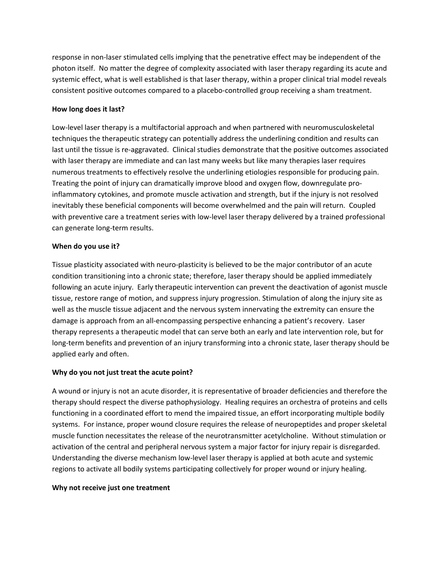response in non‐laser stimulated cells implying that the penetrative effect may be independent of the photon itself. No matter the degree of complexity associated with laser therapy regarding its acute and systemic effect, what is well established is that laser therapy, within a proper clinical trial model reveals consistent positive outcomes compared to a placebo‐controlled group receiving a sham treatment.

## **How long does it last?**

Low‐level laser therapy is a multifactorial approach and when partnered with neuromusculoskeletal techniques the therapeutic strategy can potentially address the underlining condition and results can last until the tissue is re‐aggravated. Clinical studies demonstrate that the positive outcomes associated with laser therapy are immediate and can last many weeks but like many therapies laser requires numerous treatments to effectively resolve the underlining etiologies responsible for producing pain. Treating the point of injury can dramatically improve blood and oxygen flow, downregulate pro‐ inflammatory cytokines, and promote muscle activation and strength, but if the injury is not resolved inevitably these beneficial components will become overwhelmed and the pain will return. Coupled with preventive care a treatment series with low-level laser therapy delivered by a trained professional can generate long‐term results.

## **When do you use it?**

Tissue plasticity associated with neuro‐plasticity is believed to be the major contributor of an acute condition transitioning into a chronic state; therefore, laser therapy should be applied immediately following an acute injury. Early therapeutic intervention can prevent the deactivation of agonist muscle tissue, restore range of motion, and suppress injury progression. Stimulation of along the injury site as well as the muscle tissue adjacent and the nervous system innervating the extremity can ensure the damage is approach from an all‐encompassing perspective enhancing a patient's recovery. Laser therapy represents a therapeutic model that can serve both an early and late intervention role, but for long-term benefits and prevention of an injury transforming into a chronic state, laser therapy should be applied early and often.

## **Why do you not just treat the acute point?**

A wound or injury is not an acute disorder, it is representative of broader deficiencies and therefore the therapy should respect the diverse pathophysiology. Healing requires an orchestra of proteins and cells functioning in a coordinated effort to mend the impaired tissue, an effort incorporating multiple bodily systems. For instance, proper wound closure requires the release of neuropeptides and proper skeletal muscle function necessitates the release of the neurotransmitter acetylcholine. Without stimulation or activation of the central and peripheral nervous system a major factor for injury repair is disregarded. Understanding the diverse mechanism low‐level laser therapy is applied at both acute and systemic regions to activate all bodily systems participating collectively for proper wound or injury healing.

#### **Why not receive just one treatment**